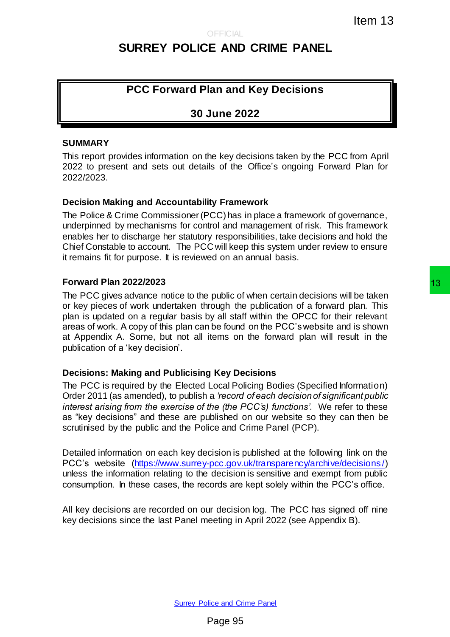# **SURREY POLICE AND CRIME PANEL**

## **PCC Forward Plan and Key Decisions**

## **30 June 2022**

#### **SUMMARY**

This report provides information on the key decisions taken by the PCC from April 2022 to present and sets out details of the Office's ongoing Forward Plan for 2022/2023.

#### **Decision Making and Accountability Framework**

The Police & Crime Commissioner (PCC) has in place a framework of governance, underpinned by mechanisms for control and management of risk. This framework enables her to discharge her statutory responsibilities, take decisions and hold the Chief Constable to account. The PCC will keep this system under review to ensure it remains fit for purpose. It is reviewed on an annual basis.

#### **Forward Plan 2022/2023**

The PCC gives advance notice to the public of when certain decisions will be taken or key pieces of work undertaken through the publication of a forward plan. This plan is updated on a regular basis by all staff within the OPCC for their relevant areas of work. A copy of this plan can be found on the PCC's website and is shown at Appendix A. Some, but not all items on the forward plan will result in the publication of a 'key decision'. Item 13<br>
Item 13<br>
E AND CRIME PANEL<br>
Item and Key Decisions<br>
June 2022<br>
the key decisions taken by the PCC from April<br>
Its of the Office's orgoing Forward Plan for<br>
ty Framework<br>
ty Transwork<br>
ty Transwork<br>
exceptibilities

#### **Decisions: Making and Publicising Key Decisions**

The PCC is required by the Elected Local Policing Bodies (Specified Information) Order 2011 (as amended), to publish a *'record of each decision of significant public interest arising from the exercise of the (the PCC's) functions'*. We refer to these as "key decisions" and these are published on our website so they can then be scrutinised by the public and the Police and Crime Panel (PCP).

Detailed information on each key decision is published at the following link on the PCC's website [\(https://www.surrey-pcc.gov.uk/transparency/archive/decisions/\)](https://www.surrey-pcc.gov.uk/transparency/archive/decisions/) unless the information relating to the decision is sensitive and exempt from public consumption. In these cases, the records are kept solely within the PCC's office.

All key decisions are recorded on our decision log. The PCC has signed off nine key decisions since the last Panel meeting in April 2022 (see Appendix B).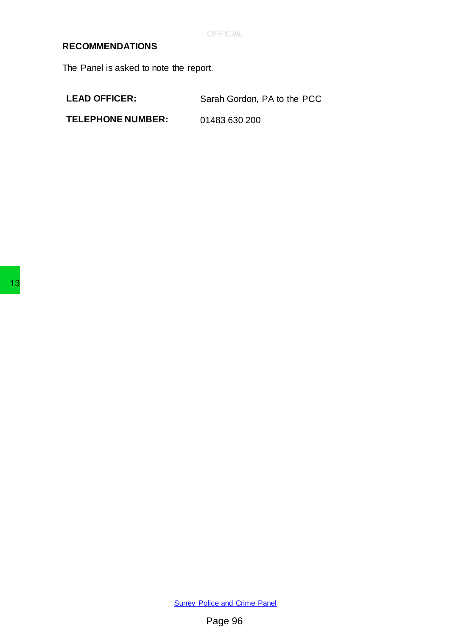**OFFICIAL** 

### **RECOMMENDATIONS**

The Panel is asked to note the report.

LEAD OFFICER: Sarah Gordon, PA to the PCC

**TELEPHONE NUMBER:** 01483 630 200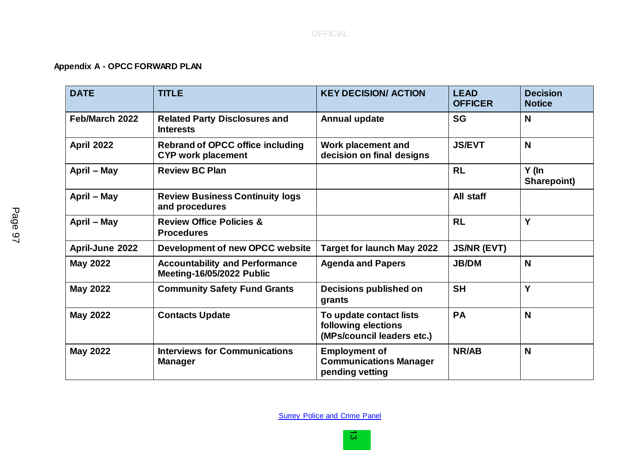#### OFFICIAL

## **Appendix A - OPCC FORWARD PLAN**

| <b>DATE</b>     | <b>TITLE</b>                                                         | <b>KEY DECISION/ ACTION</b>                                                  | <b>LEAD</b><br><b>OFFICER</b> | <b>Decision</b><br><b>Notice</b> |
|-----------------|----------------------------------------------------------------------|------------------------------------------------------------------------------|-------------------------------|----------------------------------|
| Feb/March 2022  | <b>Related Party Disclosures and</b><br><b>Interests</b>             | <b>Annual update</b>                                                         | <b>SG</b>                     | N                                |
| April 2022      | <b>Rebrand of OPCC office including</b><br><b>CYP work placement</b> | Work placement and<br>decision on final designs                              | <b>JS/EVT</b>                 | N                                |
| April – May     | <b>Review BC Plan</b>                                                |                                                                              | <b>RL</b>                     | Y (In<br>Sharepoint)             |
| April - May     | <b>Review Business Continuity logs</b><br>and procedures             |                                                                              | All staff                     |                                  |
| April - May     | <b>Review Office Policies &amp;</b><br><b>Procedures</b>             |                                                                              | <b>RL</b>                     | Y                                |
| April-June 2022 | Development of new OPCC website                                      | <b>Target for launch May 2022</b>                                            | <b>JS/NR (EVT)</b>            |                                  |
| <b>May 2022</b> | <b>Accountability and Performance</b><br>Meeting-16/05/2022 Public   | <b>Agenda and Papers</b>                                                     | <b>JB/DM</b>                  | N                                |
| <b>May 2022</b> | <b>Community Safety Fund Grants</b>                                  | <b>Decisions published on</b><br>grants                                      | <b>SH</b>                     | Y                                |
| <b>May 2022</b> | <b>Contacts Update</b>                                               | To update contact lists<br>following elections<br>(MPs/council leaders etc.) | PA                            | N                                |
| <b>May 2022</b> | <b>Interviews for Communications</b><br><b>Manager</b>               | <b>Employment of</b><br><b>Communications Manager</b><br>pending vetting     | NR/AB                         | N                                |

Page 97

**[Surrey Police and Crime Panel](http://www.surreycc.gov.uk/your-council/councillors-and-committees/list-of-committees-and-officers/surrey-police-and-crime-panel)**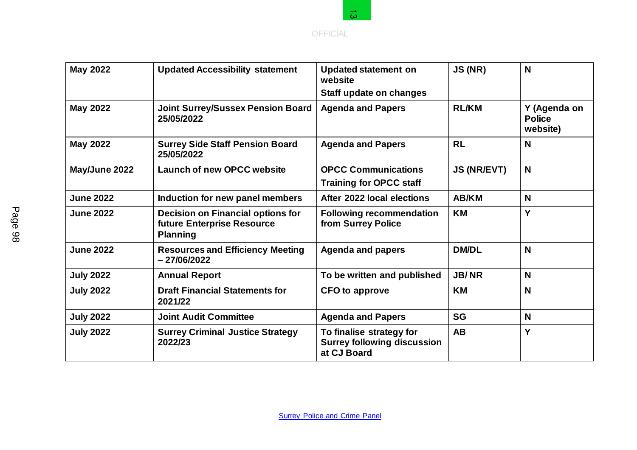

|                  |                                                                                                             | <b>OFFICIAL</b>                                                               |                    |                                           |  |
|------------------|-------------------------------------------------------------------------------------------------------------|-------------------------------------------------------------------------------|--------------------|-------------------------------------------|--|
| <b>May 2022</b>  | <b>Updated Accessibility statement</b><br><b>Updated statement on</b><br>website<br>Staff update on changes |                                                                               | JS (NR)            | N                                         |  |
| <b>May 2022</b>  | <b>Joint Surrey/Sussex Pension Board</b><br>25/05/2022                                                      | <b>Agenda and Papers</b>                                                      | <b>RL/KM</b>       | Y (Agenda on<br><b>Police</b><br>website) |  |
| <b>May 2022</b>  | <b>Surrey Side Staff Pension Board</b><br>25/05/2022                                                        | <b>Agenda and Papers</b>                                                      | <b>RL</b>          | N                                         |  |
| May/June 2022    | <b>Launch of new OPCC website</b>                                                                           | <b>OPCC Communications</b><br><b>Training for OPCC staff</b>                  | <b>JS (NR/EVT)</b> | N                                         |  |
| <b>June 2022</b> | Induction for new panel members                                                                             | After 2022 local elections                                                    | <b>AB/KM</b>       | N                                         |  |
| <b>June 2022</b> | <b>Decision on Financial options for</b><br>future Enterprise Resource<br><b>Planning</b>                   | <b>Following recommendation</b><br>from Surrey Police                         | <b>KM</b>          | Y                                         |  |
| <b>June 2022</b> | <b>Resources and Efficiency Meeting</b><br>$-27/06/2022$                                                    | <b>Agenda and papers</b>                                                      | <b>DM/DL</b>       | N                                         |  |
| <b>July 2022</b> | <b>Annual Report</b>                                                                                        | To be written and published                                                   | <b>JB/NR</b>       | N                                         |  |
| <b>July 2022</b> | <b>Draft Financial Statements for</b><br>2021/22                                                            | <b>CFO</b> to approve                                                         | <b>KM</b>          | N                                         |  |
| <b>July 2022</b> | <b>Joint Audit Committee</b>                                                                                | <b>Agenda and Papers</b>                                                      | <b>SG</b>          | N                                         |  |
| <b>July 2022</b> | <b>Surrey Criminal Justice Strategy</b><br>2022/23                                                          | To finalise strategy for<br><b>Surrey following discussion</b><br>at CJ Board | <b>AB</b>          | Y                                         |  |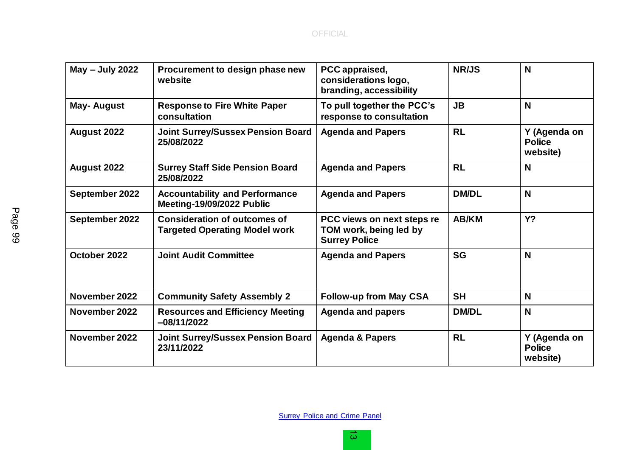| May - July 2022 | Procurement to design phase new<br>website                                  | PCC appraised,<br>considerations logo,<br>branding, accessibility            | <b>NR/JS</b> | N                                         |
|-----------------|-----------------------------------------------------------------------------|------------------------------------------------------------------------------|--------------|-------------------------------------------|
| May- August     | <b>Response to Fire White Paper</b><br>consultation                         | To pull together the PCC's<br>response to consultation                       | <b>JB</b>    | N                                         |
| August 2022     | <b>Joint Surrey/Sussex Pension Board</b><br>25/08/2022                      | <b>Agenda and Papers</b>                                                     | <b>RL</b>    | Y (Agenda on<br><b>Police</b><br>website) |
| August 2022     | <b>Surrey Staff Side Pension Board</b><br>25/08/2022                        | <b>Agenda and Papers</b>                                                     | <b>RL</b>    | N                                         |
| September 2022  | <b>Accountability and Performance</b><br>Meeting-19/09/2022 Public          | <b>Agenda and Papers</b>                                                     | <b>DM/DL</b> | N                                         |
| September 2022  | <b>Consideration of outcomes of</b><br><b>Targeted Operating Model work</b> | PCC views on next steps re<br>TOM work, being led by<br><b>Surrey Police</b> | <b>AB/KM</b> | <b>Y?</b>                                 |
| October 2022    | <b>Joint Audit Committee</b>                                                | <b>Agenda and Papers</b>                                                     | <b>SG</b>    | N                                         |
| November 2022   | <b>Community Safety Assembly 2</b>                                          | <b>Follow-up from May CSA</b>                                                | <b>SH</b>    | N                                         |
| November 2022   | <b>Resources and Efficiency Meeting</b><br>-08/11/2022                      | <b>Agenda and papers</b>                                                     | <b>DM/DL</b> | N                                         |
| November 2022   | <b>Joint Surrey/Sussex Pension Board</b><br>23/11/2022                      | <b>Agenda &amp; Papers</b>                                                   | <b>RL</b>    | Y (Agenda on<br><b>Police</b><br>website) |

**[Surrey Police and Crime Panel](http://www.surreycc.gov.uk/your-council/councillors-and-committees/list-of-committees-and-officers/surrey-police-and-crime-panel)**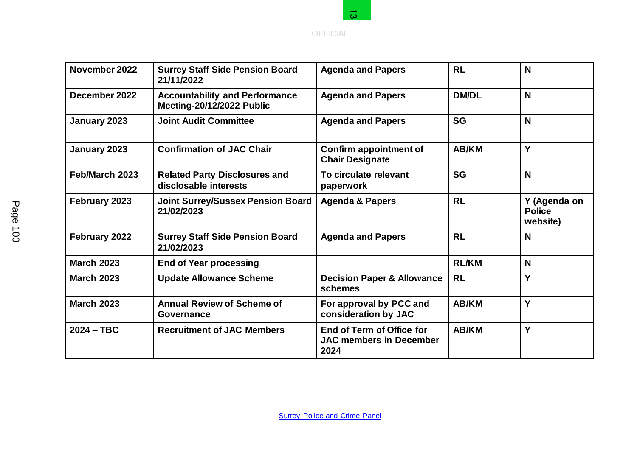

|                   |                                                                           | $\omega$                                                            |              |                                           |
|-------------------|---------------------------------------------------------------------------|---------------------------------------------------------------------|--------------|-------------------------------------------|
|                   |                                                                           | <b>OFFICIAL</b>                                                     |              |                                           |
| November 2022     | <b>Surrey Staff Side Pension Board</b><br>21/11/2022                      | <b>Agenda and Papers</b>                                            | <b>RL</b>    | N                                         |
| December 2022     | <b>Accountability and Performance</b><br><b>Meeting-20/12/2022 Public</b> | <b>Agenda and Papers</b>                                            | <b>DM/DL</b> | N                                         |
| January 2023      | <b>Joint Audit Committee</b>                                              | <b>Agenda and Papers</b>                                            | <b>SG</b>    | N                                         |
| January 2023      | <b>Confirmation of JAC Chair</b>                                          | <b>Confirm appointment of</b><br><b>Chair Designate</b>             | <b>AB/KM</b> | Ý                                         |
| Feb/March 2023    | <b>Related Party Disclosures and</b><br>disclosable interests             | To circulate relevant<br>paperwork                                  | <b>SG</b>    | N                                         |
| February 2023     | <b>Joint Surrey/Sussex Pension Board</b><br>21/02/2023                    | <b>Agenda &amp; Papers</b>                                          | <b>RL</b>    | Y (Agenda on<br><b>Police</b><br>website) |
| February 2022     | <b>Surrey Staff Side Pension Board</b><br>21/02/2023                      | <b>Agenda and Papers</b>                                            | <b>RL</b>    | N                                         |
| <b>March 2023</b> | <b>End of Year processing</b>                                             |                                                                     | <b>RL/KM</b> | N                                         |
| <b>March 2023</b> | <b>Update Allowance Scheme</b>                                            | <b>Decision Paper &amp; Allowance</b><br>schemes                    | <b>RL</b>    | Y                                         |
| <b>March 2023</b> | <b>Annual Review of Scheme of</b><br>Governance                           | For approval by PCC and<br>consideration by JAC                     | <b>AB/KM</b> | Y                                         |
| $2024 - TBC$      | <b>Recruitment of JAC Members</b>                                         | End of Term of Office for<br><b>JAC members in December</b><br>2024 | <b>AB/KM</b> | Υ                                         |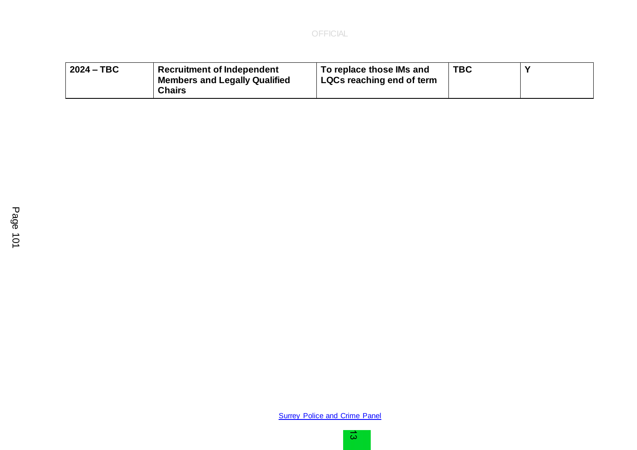| $\frac{1}{2024}$ – TBC<br><b>Recruitment of Independent</b><br>Members and Legally Qualified<br><b>Chairs</b> | To replace those IMs and<br>LQCs reaching end of term | <b>TBC</b> |  |
|---------------------------------------------------------------------------------------------------------------|-------------------------------------------------------|------------|--|
|---------------------------------------------------------------------------------------------------------------|-------------------------------------------------------|------------|--|

**[Surrey Police and Crime Panel](http://www.surreycc.gov.uk/your-council/councillors-and-committees/list-of-committees-and-officers/surrey-police-and-crime-panel)**